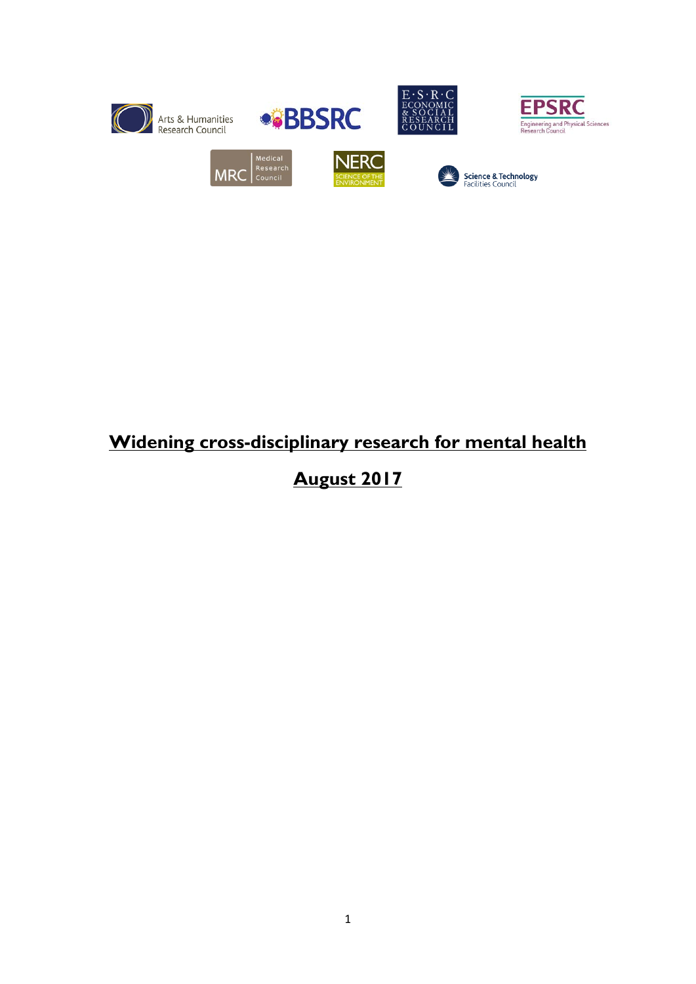

# **Widening cross-disciplinary research for mental health**

# **August 2017**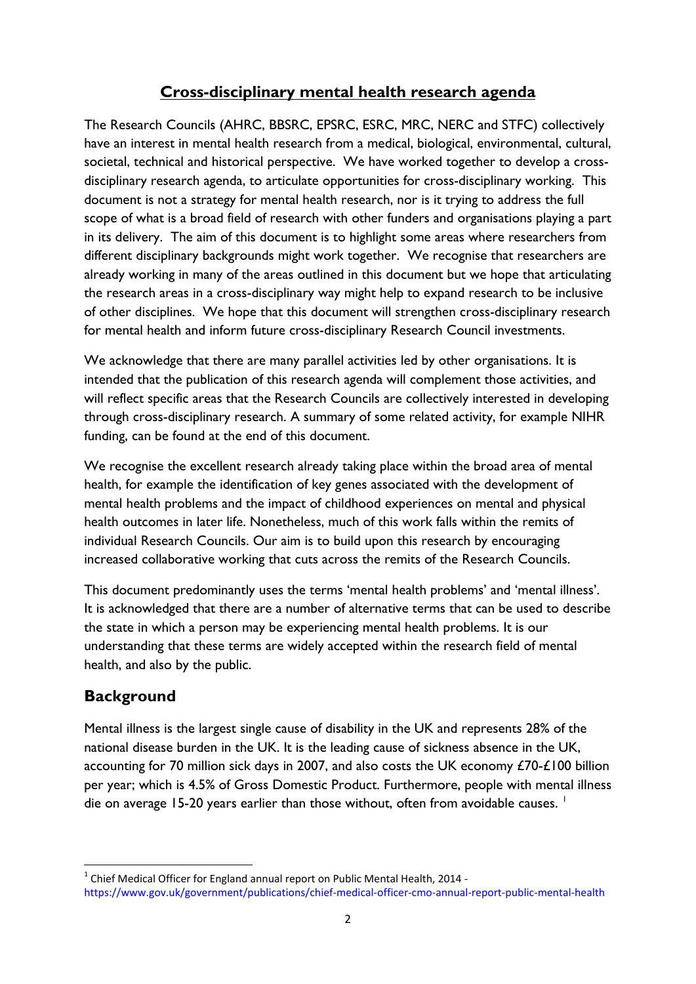# **Cross-disciplinary mental health research agenda**

The Research Councils (AHRC, BBSRC, EPSRC, ESRC, MRC, NERC and STFC) collectively have an interest in mental health research from a medical, biological, environmental, cultural, societal, technical and historical perspective. We have worked together to develop a crossdisciplinary research agenda, to articulate opportunities for cross-disciplinary working. This document is not a strategy for mental health research, nor is it trying to address the full scope of what is a broad field of research with other funders and organisations playing a part in its delivery. The aim of this document is to highlight some areas where researchers from different disciplinary backgrounds might work together. We recognise that researchers are already working in many of the areas outlined in this document but we hope that articulating the research areas in a cross-disciplinary way might help to expand research to be inclusive of other disciplines. We hope that this document will strengthen cross-disciplinary research for mental health and inform future cross-disciplinary Research Council investments.

We acknowledge that there are many parallel activities led by other organisations. It is intended that the publication of this research agenda will complement those activities, and will reflect specific areas that the Research Councils are collectively interested in developing through cross-disciplinary research. A summary of some related activity, for example NIHR funding, can be found at the end of this document.

We recognise the excellent research already taking place within the broad area of mental health, for example the identification of key genes associated with the development of mental health problems and the impact of childhood experiences on mental and physical health outcomes in later life. Nonetheless, much of this work falls within the remits of individual Research Councils. Our aim is to build upon this research by encouraging increased collaborative working that cuts across the remits of the Research Councils.

This document predominantly uses the terms 'mental health problems' and 'mental illness'. It is acknowledged that there are a number of alternative terms that can be used to describe the state in which a person may be experiencing mental health problems. It is our understanding that these terms are widely accepted within the research field of mental health, and also by the public.

# **Background**

**.** 

Mental illness is the largest single cause of disability in the UK and represents 28% of the national disease burden in the UK. It is the leading cause of sickness absence in the UK, accounting for 70 million sick days in 2007, and also costs the UK economy £70-£100 billion per year; which is 4.5% of Gross Domestic Product. Furthermore, people with mental illness die on average [1](#page-1-0)5-20 years earlier than those without, often from avoidable causes. <sup>1</sup>

<span id="page-1-0"></span> $1$  Chief Medical Officer for England annual report on Public Mental Health, 2014 https://www.gov.uk/government/publications/chief-medical-officer-cmo-annual-report-public-mental-health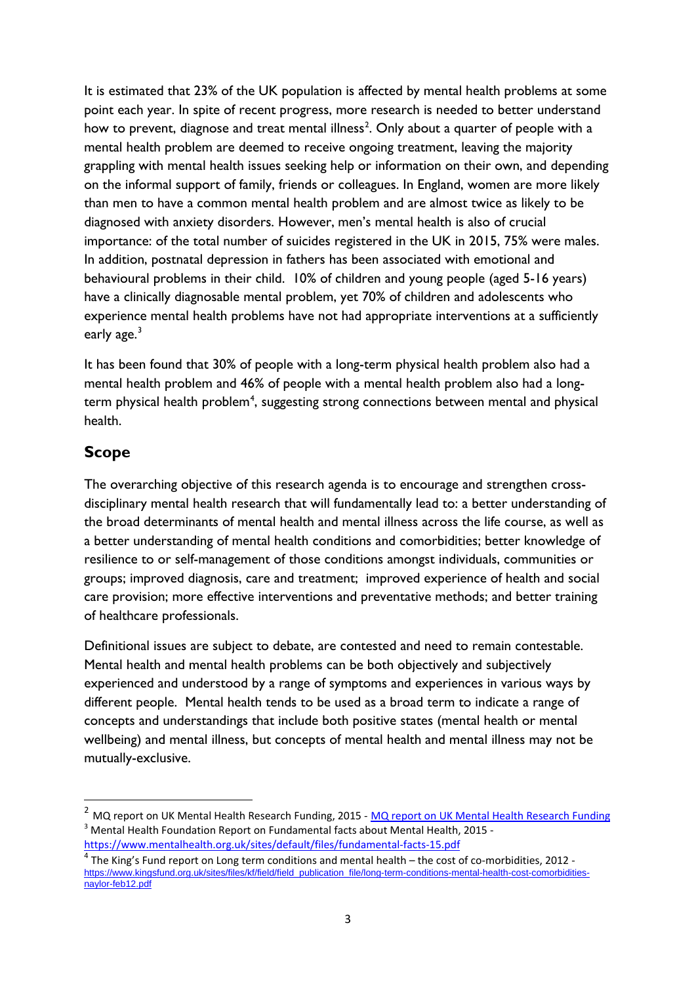It is estimated that 23% of the UK population is affected by mental health problems at some point each year. In spite of recent progress, more research is needed to better understand how to prevent, diagnose and treat mental illness<sup>[2](#page-2-0)</sup>. Only about a quarter of people with a mental health problem are deemed to receive ongoing treatment, leaving the majority grappling with mental health issues seeking help or information on their own, and depending on the informal support of family, friends or colleagues. In England, women are more likely than men to have a common mental health problem and are almost twice as likely to be diagnosed with anxiety disorders. However, men's mental health is also of crucial importance: of the total number of suicides registered in the UK in 2015, 75% were males. In addition, postnatal depression in fathers has been associated with emotional and behavioural problems in their child. 10% of children and young people (aged 5-16 years) have a clinically diagnosable mental problem, yet 70% of children and adolescents who experience mental health problems have not had appropriate interventions at a sufficiently early age. $3$ 

It has been found that 30% of people with a long-term physical health problem also had a mental health problem and 46% of people with a mental health problem also had a long-term physical health problem<sup>[4](#page-2-2)</sup>, suggesting strong connections between mental and physical health.

# **Scope**

**.** 

The overarching objective of this research agenda is to encourage and strengthen crossdisciplinary mental health research that will fundamentally lead to: a better understanding of the broad determinants of mental health and mental illness across the life course, as well as a better understanding of mental health conditions and comorbidities; better knowledge of resilience to or self-management of those conditions amongst individuals, communities or groups; improved diagnosis, care and treatment; improved experience of health and social care provision; more effective interventions and preventative methods; and better training of healthcare professionals.

Definitional issues are subject to debate, are contested and need to remain contestable. Mental health and mental health problems can be both objectively and subjectively experienced and understood by a range of symptoms and experiences in various ways by different people. Mental health tends to be used as a broad term to indicate a range of concepts and understandings that include both positive states (mental health or mental wellbeing) and mental illness, but concepts of mental health and mental illness may not be mutually-exclusive.

<span id="page-2-1"></span><span id="page-2-0"></span><sup>&</sup>lt;sup>2</sup> [MQ report on UK Mental Health Research Funding](http://b.3cdn.net/joinmq/1f731755e4183d5337_apm6b0gll.pdf), 2015 - MQ report on UK Mental Health Research Funding <sup>3</sup> Mental Health Foundation Report on Fundamental facts about Mental Health, 2015 <https://www.mentalhealth.org.uk/sites/default/files/fundamental-facts-15.pdf>

<span id="page-2-2"></span> $\frac{4}{1}$ The King's Fund report on Long term conditions and mental health – the cost of co-morbidities, 2012 [https://www.kingsfund.org.uk/sites/files/kf/field/field\\_publication\\_file/long-term-conditions-mental-health-cost-comorbidities](https://www.kingsfund.org.uk/sites/files/kf/field/field_publication_file/long-term-conditions-mental-health-cost-comorbidities-naylor-feb12.pdf)[naylor-feb12.pdf](https://www.kingsfund.org.uk/sites/files/kf/field/field_publication_file/long-term-conditions-mental-health-cost-comorbidities-naylor-feb12.pdf)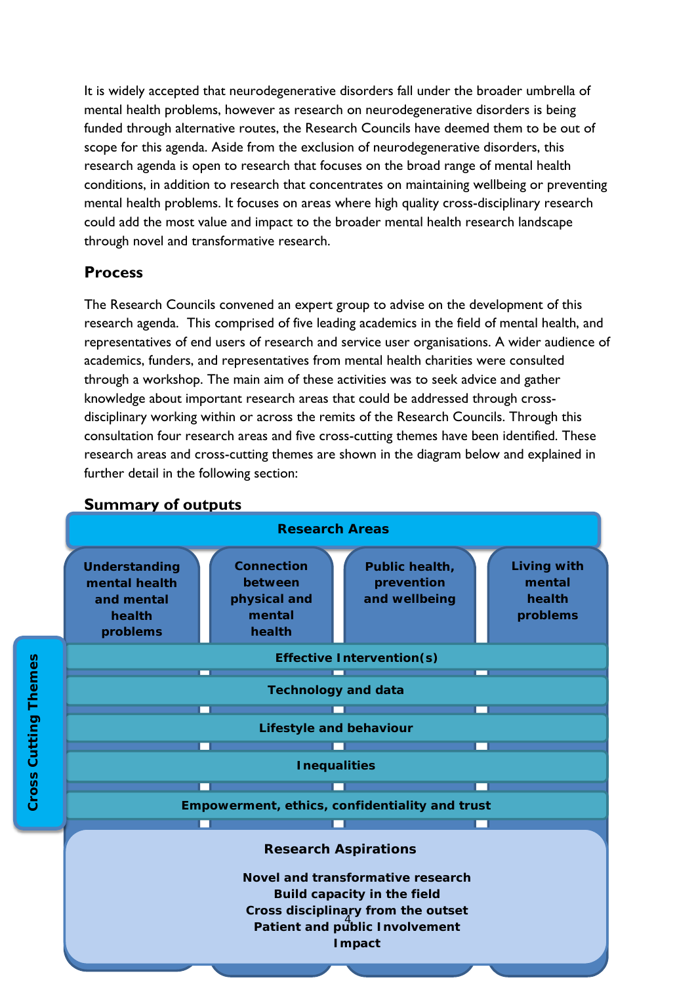It is widely accepted that neurodegenerative disorders fall under the broader umbrella of mental health problems, however as research on neurodegenerative disorders is being funded through alternative routes, the Research Councils have deemed them to be out of scope for this agenda. Aside from the exclusion of neurodegenerative disorders, this research agenda is open to research that focuses on the broad range of mental health conditions, in addition to research that concentrates on maintaining wellbeing or preventing mental health problems. It focuses on areas where high quality cross-disciplinary research could add the most value and impact to the broader mental health research landscape through novel and transformative research.

# **Process**

The Research Councils convened an expert group to advise on the development of this research agenda. This comprised of five leading academics in the field of mental health, and representatives of end users of research and service user organisations. A wider audience of academics, funders, and representatives from mental health charities were consulted through a workshop. The main aim of these activities was to seek advice and gather knowledge about important research areas that could be addressed through crossdisciplinary working within or across the remits of the Research Councils. Through this consultation four research areas and five cross-cutting themes have been identified. These research areas and cross-cutting themes are shown in the diagram below and explained in further detail in the following section:



### **Summary of outputs**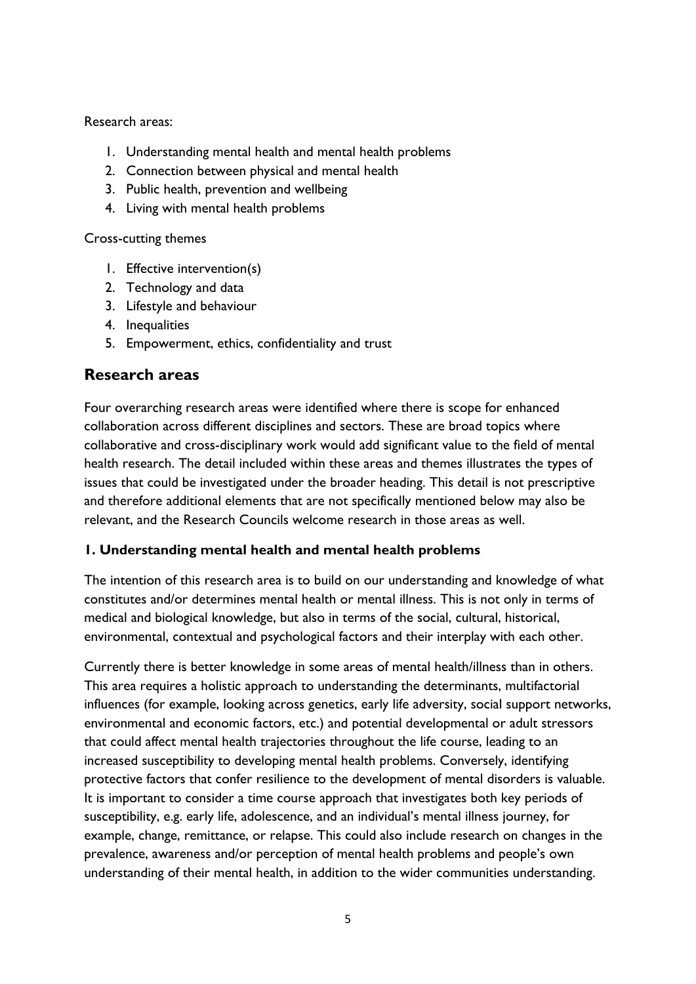Research areas:

- 1. Understanding mental health and mental health problems
- 2. Connection between physical and mental health
- 3. Public health, prevention and wellbeing
- 4. Living with mental health problems

Cross-cutting themes

- 1. Effective intervention(s)
- 2. Technology and data
- 3. Lifestyle and behaviour
- 4. Inequalities
- 5. Empowerment, ethics, confidentiality and trust

# **Research areas**

Four overarching research areas were identified where there is scope for enhanced collaboration across different disciplines and sectors. These are broad topics where collaborative and cross-disciplinary work would add significant value to the field of mental health research. The detail included within these areas and themes illustrates the types of issues that could be investigated under the broader heading. This detail is not prescriptive and therefore additional elements that are not specifically mentioned below may also be relevant, and the Research Councils welcome research in those areas as well.

### **1. Understanding mental health and mental health problems**

The intention of this research area is to build on our understanding and knowledge of what constitutes and/or determines mental health or mental illness. This is not only in terms of medical and biological knowledge, but also in terms of the social, cultural, historical, environmental, contextual and psychological factors and their interplay with each other.

Currently there is better knowledge in some areas of mental health/illness than in others. This area requires a holistic approach to understanding the determinants, multifactorial influences (for example, looking across genetics, early life adversity, social support networks, environmental and economic factors, etc.) and potential developmental or adult stressors that could affect mental health trajectories throughout the life course, leading to an increased susceptibility to developing mental health problems. Conversely, identifying protective factors that confer resilience to the development of mental disorders is valuable. It is important to consider a time course approach that investigates both key periods of susceptibility, e.g. early life, adolescence, and an individual's mental illness journey, for example, change, remittance, or relapse. This could also include research on changes in the prevalence, awareness and/or perception of mental health problems and people's own understanding of their mental health, in addition to the wider communities understanding.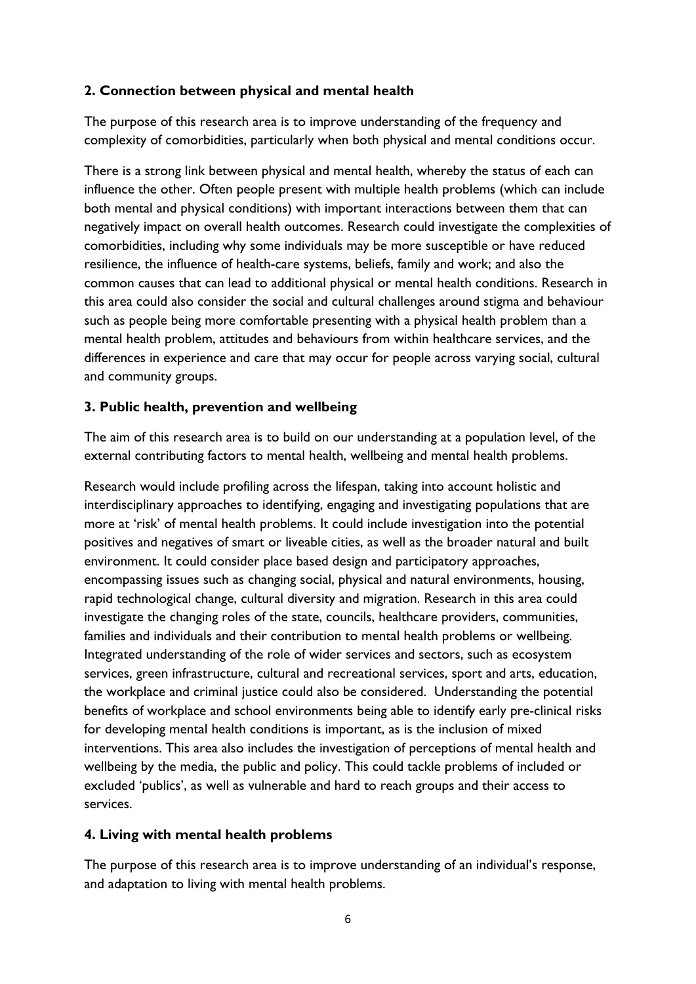#### **2. Connection between physical and mental health**

The purpose of this research area is to improve understanding of the frequency and complexity of comorbidities, particularly when both physical and mental conditions occur.

There is a strong link between physical and mental health, whereby the status of each can influence the other. Often people present with multiple health problems (which can include both mental and physical conditions) with important interactions between them that can negatively impact on overall health outcomes. Research could investigate the complexities of comorbidities, including why some individuals may be more susceptible or have reduced resilience, the influence of health-care systems, beliefs, family and work; and also the common causes that can lead to additional physical or mental health conditions. Research in this area could also consider the social and cultural challenges around stigma and behaviour such as people being more comfortable presenting with a physical health problem than a mental health problem, attitudes and behaviours from within healthcare services, and the differences in experience and care that may occur for people across varying social, cultural and community groups.

#### **3. Public health, prevention and wellbeing**

The aim of this research area is to build on our understanding at a population level, of the external contributing factors to mental health, wellbeing and mental health problems.

Research would include profiling across the lifespan, taking into account holistic and interdisciplinary approaches to identifying, engaging and investigating populations that are more at 'risk' of mental health problems. It could include investigation into the potential positives and negatives of smart or liveable cities, as well as the broader natural and built environment. It could consider place based design and participatory approaches, encompassing issues such as changing social, physical and natural environments, housing, rapid technological change, cultural diversity and migration. Research in this area could investigate the changing roles of the state, councils, healthcare providers, communities, families and individuals and their contribution to mental health problems or wellbeing. Integrated understanding of the role of wider services and sectors, such as ecosystem services, green infrastructure, cultural and recreational services, sport and arts, education, the workplace and criminal justice could also be considered. Understanding the potential benefits of workplace and school environments being able to identify early pre-clinical risks for developing mental health conditions is important, as is the inclusion of mixed interventions. This area also includes the investigation of perceptions of mental health and wellbeing by the media, the public and policy. This could tackle problems of included or excluded 'publics', as well as vulnerable and hard to reach groups and their access to services.

#### **4. Living with mental health problems**

The purpose of this research area is to improve understanding of an individual's response, and adaptation to living with mental health problems.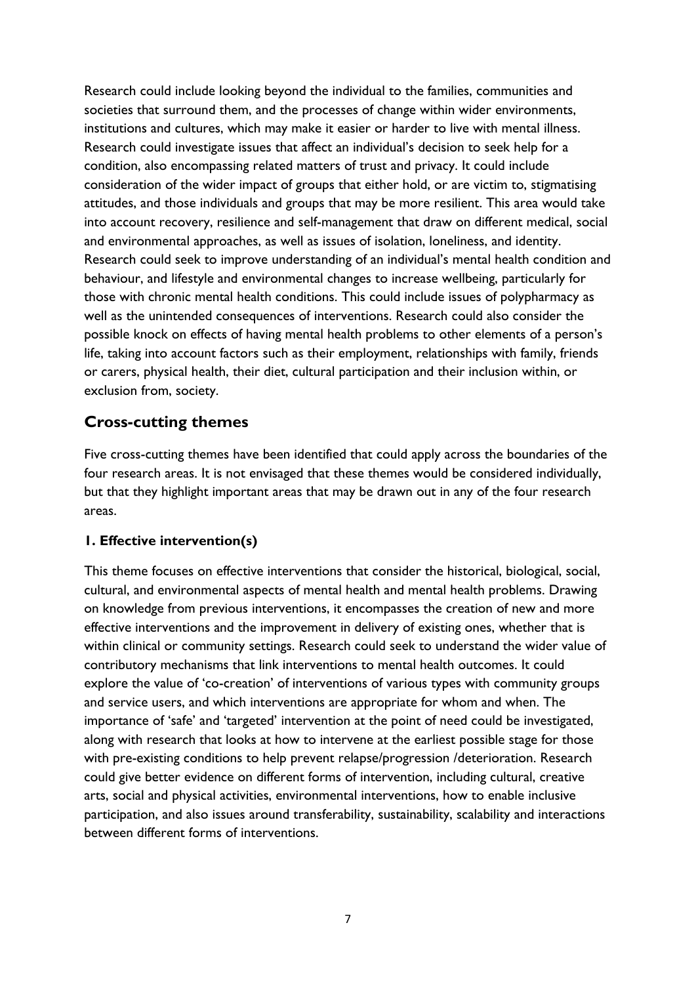Research could include looking beyond the individual to the families, communities and societies that surround them, and the processes of change within wider environments, institutions and cultures, which may make it easier or harder to live with mental illness. Research could investigate issues that affect an individual's decision to seek help for a condition, also encompassing related matters of trust and privacy. It could include consideration of the wider impact of groups that either hold, or are victim to, stigmatising attitudes, and those individuals and groups that may be more resilient. This area would take into account recovery, resilience and self-management that draw on different medical, social and environmental approaches, as well as issues of isolation, loneliness, and identity. Research could seek to improve understanding of an individual's mental health condition and behaviour, and lifestyle and environmental changes to increase wellbeing, particularly for those with chronic mental health conditions. This could include issues of polypharmacy as well as the unintended consequences of interventions. Research could also consider the possible knock on effects of having mental health problems to other elements of a person's life, taking into account factors such as their employment, relationships with family, friends or carers, physical health, their diet, cultural participation and their inclusion within, or exclusion from, society.

# **Cross-cutting themes**

Five cross-cutting themes have been identified that could apply across the boundaries of the four research areas. It is not envisaged that these themes would be considered individually, but that they highlight important areas that may be drawn out in any of the four research areas.

#### **1. Effective intervention(s)**

This theme focuses on effective interventions that consider the historical, biological, social, cultural, and environmental aspects of mental health and mental health problems. Drawing on knowledge from previous interventions, it encompasses the creation of new and more effective interventions and the improvement in delivery of existing ones, whether that is within clinical or community settings. Research could seek to understand the wider value of contributory mechanisms that link interventions to mental health outcomes. It could explore the value of 'co-creation' of interventions of various types with community groups and service users, and which interventions are appropriate for whom and when. The importance of 'safe' and 'targeted' intervention at the point of need could be investigated, along with research that looks at how to intervene at the earliest possible stage for those with pre-existing conditions to help prevent relapse/progression /deterioration. Research could give better evidence on different forms of intervention, including cultural, creative arts, social and physical activities, environmental interventions, how to enable inclusive participation, and also issues around transferability, sustainability, scalability and interactions between different forms of interventions.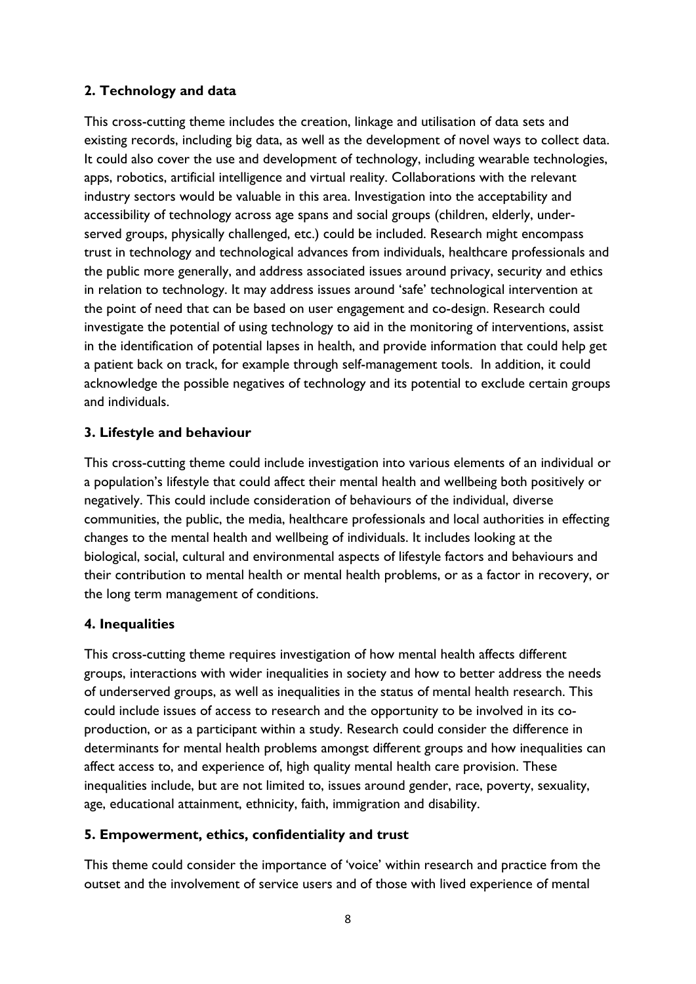### **2. Technology and data**

This cross-cutting theme includes the creation, linkage and utilisation of data sets and existing records, including big data, as well as the development of novel ways to collect data. It could also cover the use and development of technology, including wearable technologies, apps, robotics, artificial intelligence and virtual reality. Collaborations with the relevant industry sectors would be valuable in this area. Investigation into the acceptability and accessibility of technology across age spans and social groups (children, elderly, underserved groups, physically challenged, etc.) could be included. Research might encompass trust in technology and technological advances from individuals, healthcare professionals and the public more generally, and address associated issues around privacy, security and ethics in relation to technology. It may address issues around 'safe' technological intervention at the point of need that can be based on user engagement and co-design. Research could investigate the potential of using technology to aid in the monitoring of interventions, assist in the identification of potential lapses in health, and provide information that could help get a patient back on track, for example through self-management tools. In addition, it could acknowledge the possible negatives of technology and its potential to exclude certain groups and individuals.

### **3. Lifestyle and behaviour**

This cross-cutting theme could include investigation into various elements of an individual or a population's lifestyle that could affect their mental health and wellbeing both positively or negatively. This could include consideration of behaviours of the individual, diverse communities, the public, the media, healthcare professionals and local authorities in effecting changes to the mental health and wellbeing of individuals. It includes looking at the biological, social, cultural and environmental aspects of lifestyle factors and behaviours and their contribution to mental health or mental health problems, or as a factor in recovery, or the long term management of conditions.

### **4. Inequalities**

This cross-cutting theme requires investigation of how mental health affects different groups, interactions with wider inequalities in society and how to better address the needs of underserved groups, as well as inequalities in the status of mental health research. This could include issues of access to research and the opportunity to be involved in its coproduction, or as a participant within a study. Research could consider the difference in determinants for mental health problems amongst different groups and how inequalities can affect access to, and experience of, high quality mental health care provision. These inequalities include, but are not limited to, issues around gender, race, poverty, sexuality, age, educational attainment, ethnicity, faith, immigration and disability.

### **5. Empowerment, ethics, confidentiality and trust**

This theme could consider the importance of 'voice' within research and practice from the outset and the involvement of service users and of those with lived experience of mental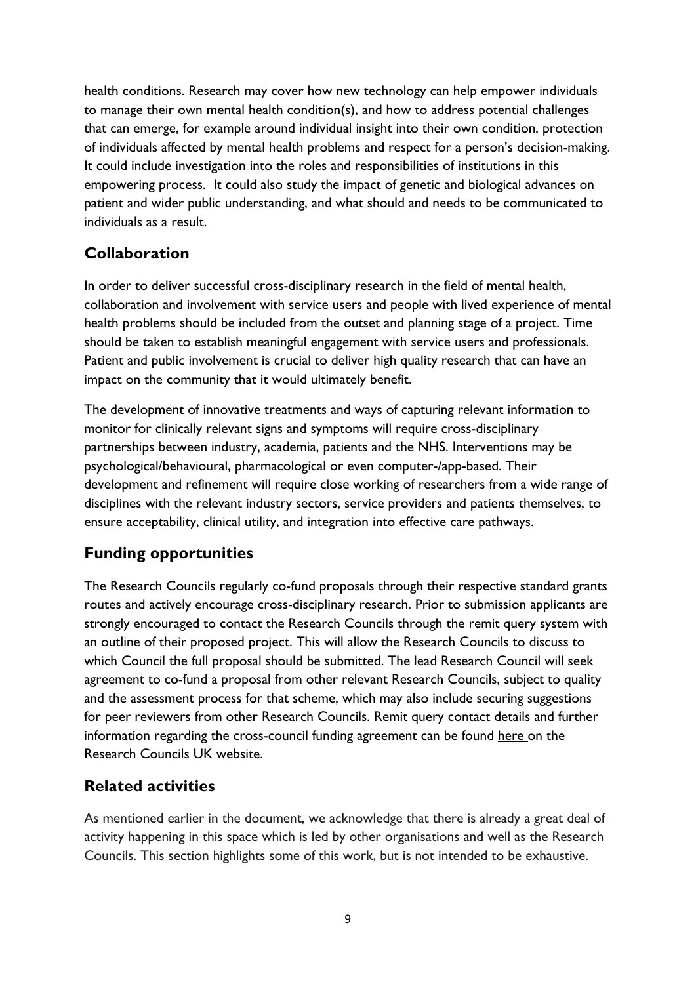health conditions. Research may cover how new technology can help empower individuals to manage their own mental health condition(s), and how to address potential challenges that can emerge, for example around individual insight into their own condition, protection of individuals affected by mental health problems and respect for a person's decision-making. It could include investigation into the roles and responsibilities of institutions in this empowering process. It could also study the impact of genetic and biological advances on patient and wider public understanding, and what should and needs to be communicated to individuals as a result.

# **Collaboration**

In order to deliver successful cross-disciplinary research in the field of mental health, collaboration and involvement with service users and people with lived experience of mental health problems should be included from the outset and planning stage of a project. Time should be taken to establish meaningful engagement with service users and professionals. Patient and public involvement is crucial to deliver high quality research that can have an impact on the community that it would ultimately benefit.

The development of innovative treatments and ways of capturing relevant information to monitor for clinically relevant signs and symptoms will require cross-disciplinary partnerships between industry, academia, patients and the NHS. Interventions may be psychological/behavioural, pharmacological or even computer-/app-based. Their development and refinement will require close working of researchers from a wide range of disciplines with the relevant industry sectors, service providers and patients themselves, to ensure acceptability, clinical utility, and integration into effective care pathways.

# **Funding opportunities**

The Research Councils regularly co-fund proposals through their respective standard grants routes and actively encourage cross-disciplinary research. Prior to submission applicants are strongly encouraged to contact the Research Councils through the remit query system with an outline of their proposed project. This will allow the Research Councils to discuss to which Council the full proposal should be submitted. The lead Research Council will seek agreement to co-fund a proposal from other relevant Research Councils, subject to quality and the assessment process for that scheme, which may also include securing suggestions for peer reviewers from other Research Councils. Remit query contact details and further information regarding the cross-council funding agreement can be found [here](http://www.rcuk.ac.uk/funding/fundingagreement/) on the Research Councils UK website.

# **Related activities**

As mentioned earlier in the document, we acknowledge that there is already a great deal of activity happening in this space which is led by other organisations and well as the Research Councils. This section highlights some of this work, but is not intended to be exhaustive.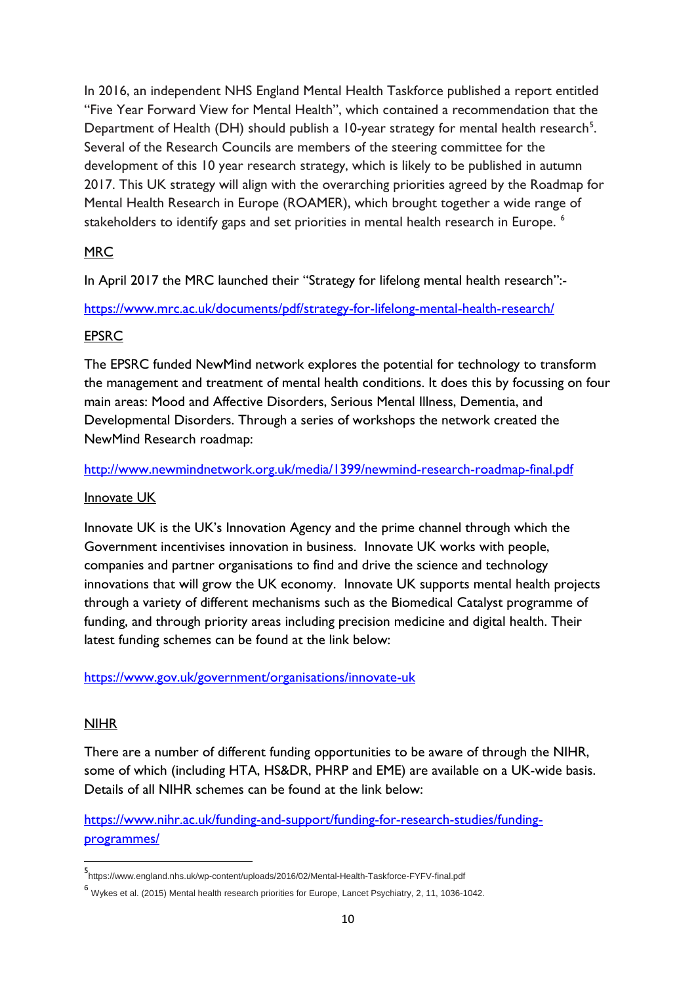In 2016, an independent NHS England Mental Health Taskforce published a report entitled "Five Year Forward View for Mental Health", which contained a recommendation that the Department of Health (DH) should publish a 10-year strategy for mental health research<sup>5</sup>. Several of the Research Councils are members of the steering committee for the development of this 10 year research strategy, which is likely to be published in autumn 2017. This UK strategy will align with the overarching priorities agreed by the Roadmap for Mental Health Research in Europe (ROAMER), which brought together a wide range of stakeholders to identify gaps and set priorities in mental health research in Europe.<sup>[6](#page-9-1)</sup>

### **MRC**

In April 2017 the MRC launched their "Strategy for lifelong mental health research":-

<https://www.mrc.ac.uk/documents/pdf/strategy-for-lifelong-mental-health-research/>

#### EPSRC

The EPSRC funded NewMind network explores the potential for technology to transform the management and treatment of mental health conditions. It does this by focussing on four main areas: Mood and Affective Disorders, Serious Mental Illness, Dementia, and Developmental Disorders. Through a series of workshops the network created the NewMind Research roadmap:

#### <http://www.newmindnetwork.org.uk/media/1399/newmind-research-roadmap-final.pdf>

#### Innovate UK

Innovate UK is the UK's Innovation Agency and the prime channel through which the Government incentivises innovation in business. Innovate UK works with people, companies and partner organisations to find and drive the science and technology innovations that will grow the UK economy. Innovate UK supports mental health projects through a variety of different mechanisms such as the Biomedical Catalyst programme of funding, and through priority areas including precision medicine and digital health. Their latest funding schemes can be found at the link below:

#### <https://www.gov.uk/government/organisations/innovate-uk>

#### **NIHR**

 $\overline{a}$ 

There are a number of different funding opportunities to be aware of through the NIHR, some of which (including HTA, HS&DR, PHRP and EME) are available on a UK-wide basis. Details of all NIHR schemes can be found at the link below:

[https://www.nihr.ac.uk/funding-and-support/funding-for-research-studies/funding](https://www.nihr.ac.uk/funding-and-support/funding-for-research-studies/funding-programmes/)[programmes/](https://www.nihr.ac.uk/funding-and-support/funding-for-research-studies/funding-programmes/)

<span id="page-9-0"></span><sup>5</sup> https://www.england.nhs.uk/wp-content/uploads/2016/02/Mental-Health-Taskforce-FYFV-final.pdf

<span id="page-9-1"></span><sup>6</sup> Wykes et al. (2015) Mental health research priorities for Europe, Lancet Psychiatry, 2, 11, 1036-1042.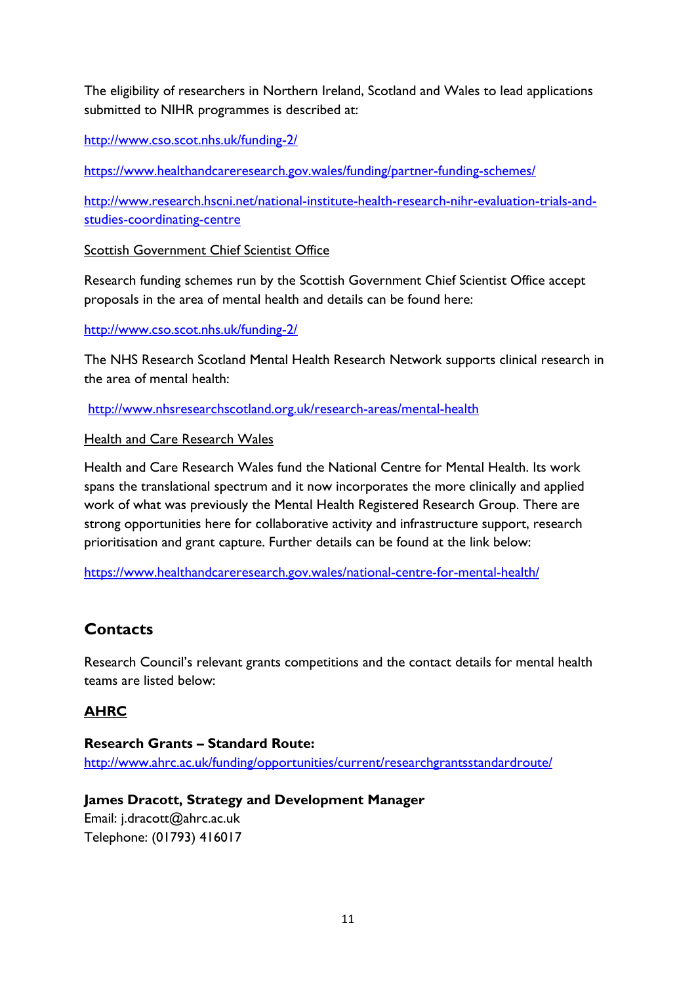The eligibility of researchers in Northern Ireland, Scotland and Wales to lead applications submitted to NIHR programmes is described at:

<http://www.cso.scot.nhs.uk/funding-2/>

<https://www.healthandcareresearch.gov.wales/funding/partner-funding-schemes/>

[http://www.research.hscni.net/national-institute-health-research-nihr-evaluation-trials-and](http://www.research.hscni.net/national-institute-health-research-nihr-evaluation-trials-and-studies-coordinating-centre)[studies-coordinating-centre](http://www.research.hscni.net/national-institute-health-research-nihr-evaluation-trials-and-studies-coordinating-centre)

Scottish Government Chief Scientist Office

Research funding schemes run by the Scottish Government Chief Scientist Office accept proposals in the area of mental health and details can be found here:

#### <http://www.cso.scot.nhs.uk/funding-2/>

The NHS Research Scotland Mental Health Research Network supports clinical research in the area of mental health:

<http://www.nhsresearchscotland.org.uk/research-areas/mental-health>

#### Health and Care Research Wales

Health and Care Research Wales fund the National Centre for Mental Health. Its work spans the translational spectrum and it now incorporates the more clinically and applied work of what was previously the Mental Health Registered Research Group. There are strong opportunities here for collaborative activity and infrastructure support, research prioritisation and grant capture. Further details can be found at the link below:

<https://www.healthandcareresearch.gov.wales/national-centre-for-mental-health/>

# **Contacts**

Research Council's relevant grants competitions and the contact details for mental health teams are listed below:

# **AHRC**

**Research Grants – Standard Route:** <http://www.ahrc.ac.uk/funding/opportunities/current/researchgrantsstandardroute/>

# **James Dracott, Strategy and Development Manager**

Email: j.dracott@ahrc.ac.uk Telephone: (01793) 416017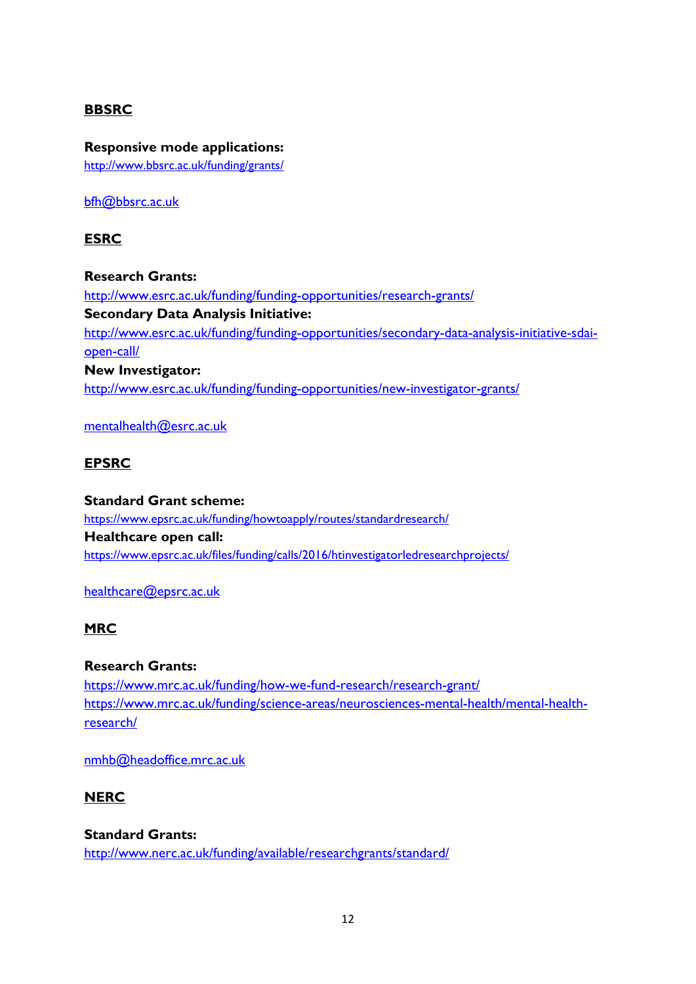#### **BBSRC**

**Responsive mode applications:** <http://www.bbsrc.ac.uk/funding/grants/>

[bfh@bbsrc.ac.uk](mailto:bfh@bbsrc.ac.uk)

#### **ESRC**

**Research Grants:** <http://www.esrc.ac.uk/funding/funding-opportunities/research-grants/> **Secondary Data Analysis Initiative:** http://www.esrc.ac.uk/funding/funding-opportunities/secondary-data-analysis-initiative-sdaiopen-call/ **New Investigator:** http://www.esrc.ac.uk/funding/funding-opportunities/new-investigator-grants/

[mentalhealth@esrc.ac.uk](mailto:mentalhealth@esrc.ac.uk)

#### **EPSRC**

**Standard Grant scheme:** <https://www.epsrc.ac.uk/funding/howtoapply/routes/standardresearch/> **Healthcare open call:** <https://www.epsrc.ac.uk/files/funding/calls/2016/htinvestigatorledresearchprojects/>

#### [healthcare@epsrc.ac.uk](mailto:healthcare@epsrc.ac.uk)

#### **MRC**

#### **Research Grants:**

<https://www.mrc.ac.uk/funding/how-we-fund-research/research-grant/> [https://www.mrc.ac.uk/funding/science-areas/neurosciences-mental-health/mental-health](https://www.mrc.ac.uk/funding/science-areas/neurosciences-mental-health/mental-health-research/)[research/](https://www.mrc.ac.uk/funding/science-areas/neurosciences-mental-health/mental-health-research/)

[nmhb@headoffice.mrc.ac.uk](mailto:nmhb@headoffice.mrc.ac.uk)

#### **NERC**

#### **Standard Grants:**

<http://www.nerc.ac.uk/funding/available/researchgrants/standard/>